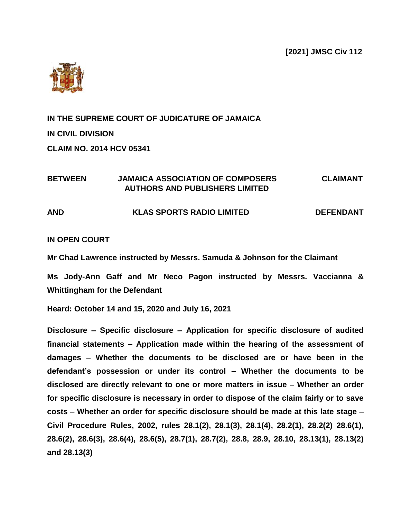**[2021] JMSC Civ 112**



**IN THE SUPREME COURT OF JUDICATURE OF JAMAICA IN CIVIL DIVISION CLAIM NO. 2014 HCV 05341**

## **BETWEEN JAMAICA ASSOCIATION OF COMPOSERS CLAIMANT AUTHORS AND PUBLISHERS LIMITED**

### **AND KLAS SPORTS RADIO LIMITED DEFENDANT**

#### **IN OPEN COURT**

**Mr Chad Lawrence instructed by Messrs. Samuda & Johnson for the Claimant**

**Ms Jody-Ann Gaff and Mr Neco Pagon instructed by Messrs. Vaccianna & Whittingham for the Defendant**

**Heard: October 14 and 15, 2020 and July 16, 2021**

**Disclosure – Specific disclosure – Application for specific disclosure of audited financial statements – Application made within the hearing of the assessment of damages – Whether the documents to be disclosed are or have been in the defendant's possession or under its control – Whether the documents to be disclosed are directly relevant to one or more matters in issue – Whether an order for specific disclosure is necessary in order to dispose of the claim fairly or to save costs – Whether an order for specific disclosure should be made at this late stage – Civil Procedure Rules, 2002, rules 28.1(2), 28.1(3), 28.1(4), 28.2(1), 28.2(2) 28.6(1), 28.6(2), 28.6(3), 28.6(4), 28.6(5), 28.7(1), 28.7(2), 28.8, 28.9, 28.10, 28.13(1), 28.13(2) and 28.13(3)**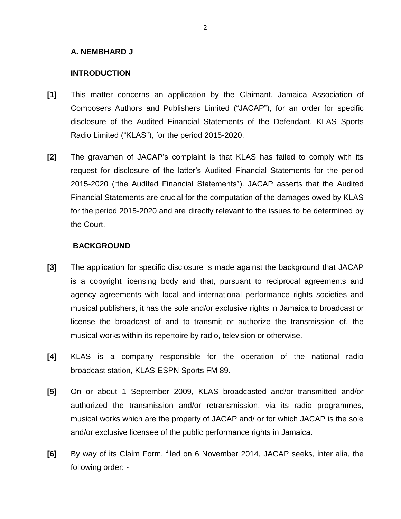### **A. NEMBHARD J**

### **INTRODUCTION**

- **[1]** This matter concerns an application by the Claimant, Jamaica Association of Composers Authors and Publishers Limited ("JACAP"), for an order for specific disclosure of the Audited Financial Statements of the Defendant, KLAS Sports Radio Limited ("KLAS"), for the period 2015-2020.
- **[2]** The gravamen of JACAP's complaint is that KLAS has failed to comply with its request for disclosure of the latter's Audited Financial Statements for the period 2015-2020 ("the Audited Financial Statements"). JACAP asserts that the Audited Financial Statements are crucial for the computation of the damages owed by KLAS for the period 2015-2020 and are directly relevant to the issues to be determined by the Court.

### **BACKGROUND**

- **[3]** The application for specific disclosure is made against the background that JACAP is a copyright licensing body and that, pursuant to reciprocal agreements and agency agreements with local and international performance rights societies and musical publishers, it has the sole and/or exclusive rights in Jamaica to broadcast or license the broadcast of and to transmit or authorize the transmission of, the musical works within its repertoire by radio, television or otherwise.
- **[4]** KLAS is a company responsible for the operation of the national radio broadcast station, KLAS-ESPN Sports FM 89.
- **[5]** On or about 1 September 2009, KLAS broadcasted and/or transmitted and/or authorized the transmission and/or retransmission, via its radio programmes, musical works which are the property of JACAP and/ or for which JACAP is the sole and/or exclusive licensee of the public performance rights in Jamaica.
- **[6]** By way of its Claim Form, filed on 6 November 2014, JACAP seeks, inter alia, the following order: -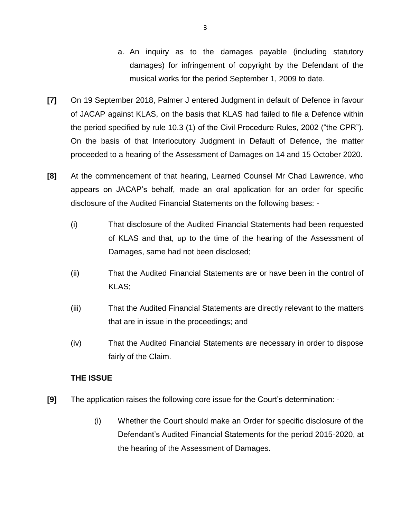- a. An inquiry as to the damages payable (including statutory damages) for infringement of copyright by the Defendant of the musical works for the period September 1, 2009 to date.
- **[7]** On 19 September 2018, Palmer J entered Judgment in default of Defence in favour of JACAP against KLAS, on the basis that KLAS had failed to file a Defence within the period specified by rule 10.3 (1) of the Civil Procedure Rules, 2002 ("the CPR"). On the basis of that Interlocutory Judgment in Default of Defence, the matter proceeded to a hearing of the Assessment of Damages on 14 and 15 October 2020.
- **[8]** At the commencement of that hearing, Learned Counsel Mr Chad Lawrence, who appears on JACAP's behalf, made an oral application for an order for specific disclosure of the Audited Financial Statements on the following bases: -
	- (i) That disclosure of the Audited Financial Statements had been requested of KLAS and that, up to the time of the hearing of the Assessment of Damages, same had not been disclosed;
	- (ii) That the Audited Financial Statements are or have been in the control of KLAS;
	- (iii) That the Audited Financial Statements are directly relevant to the matters that are in issue in the proceedings; and
	- (iv) That the Audited Financial Statements are necessary in order to dispose fairly of the Claim.

# **THE ISSUE**

- **[9]** The application raises the following core issue for the Court's determination:
	- (i) Whether the Court should make an Order for specific disclosure of the Defendant's Audited Financial Statements for the period 2015-2020, at the hearing of the Assessment of Damages.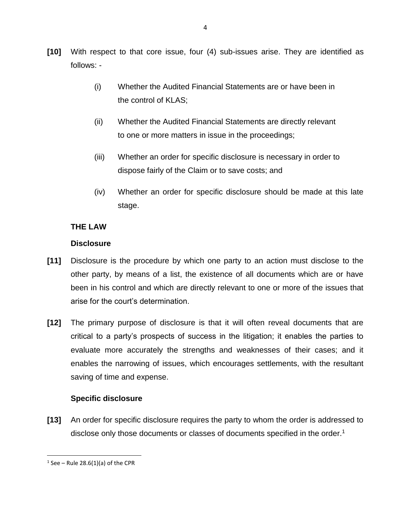- **[10]** With respect to that core issue, four (4) sub-issues arise. They are identified as follows: -
	- (i) Whether the Audited Financial Statements are or have been in the control of KLAS;
	- (ii) Whether the Audited Financial Statements are directly relevant to one or more matters in issue in the proceedings;
	- (iii) Whether an order for specific disclosure is necessary in order to dispose fairly of the Claim or to save costs; and
	- (iv) Whether an order for specific disclosure should be made at this late stage.

# **THE LAW**

## **Disclosure**

- **[11]** Disclosure is the procedure by which one party to an action must disclose to the other party, by means of a list, the existence of all documents which are or have been in his control and which are directly relevant to one or more of the issues that arise for the court's determination.
- **[12]** The primary purpose of disclosure is that it will often reveal documents that are critical to a party's prospects of success in the litigation; it enables the parties to evaluate more accurately the strengths and weaknesses of their cases; and it enables the narrowing of issues, which encourages settlements, with the resultant saving of time and expense.

# **Specific disclosure**

**[13]** An order for specific disclosure requires the party to whom the order is addressed to disclose only those documents or classes of documents specified in the order.<sup>1</sup>

 $1$  See – Rule 28.6(1)(a) of the CPR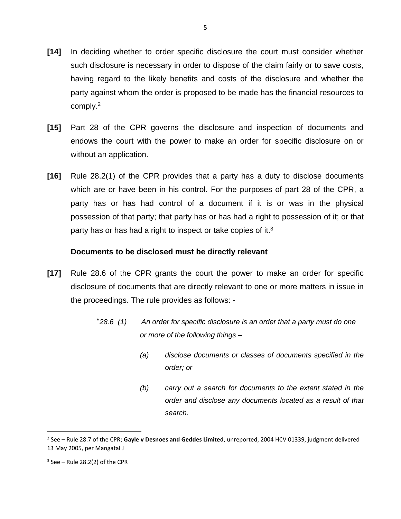- **[14]** In deciding whether to order specific disclosure the court must consider whether such disclosure is necessary in order to dispose of the claim fairly or to save costs, having regard to the likely benefits and costs of the disclosure and whether the party against whom the order is proposed to be made has the financial resources to comply.<sup>2</sup>
- **[15]** Part 28 of the CPR governs the disclosure and inspection of documents and endows the court with the power to make an order for specific disclosure on or without an application.
- **[16]** Rule 28.2(1) of the CPR provides that a party has a duty to disclose documents which are or have been in his control. For the purposes of part 28 of the CPR, a party has or has had control of a document if it is or was in the physical possession of that party; that party has or has had a right to possession of it; or that party has or has had a right to inspect or take copies of it.<sup>3</sup>

### **Documents to be disclosed must be directly relevant**

- **[17]** Rule 28.6 of the CPR grants the court the power to make an order for specific disclosure of documents that are directly relevant to one or more matters in issue in the proceedings. The rule provides as follows: -
	- "*28.6 (1) An order for specific disclosure is an order that a party must do one or more of the following things –*
		- *(a) disclose documents or classes of documents specified in the order; or*
		- *(b) carry out a search for documents to the extent stated in the order and disclose any documents located as a result of that search.*

<sup>2</sup> See – Rule 28.7 of the CPR; **Gayle v Desnoes and Geddes Limited**, unreported, 2004 HCV 01339, judgment delivered 13 May 2005, per Mangatal J

 $3$  See – Rule 28.2(2) of the CPR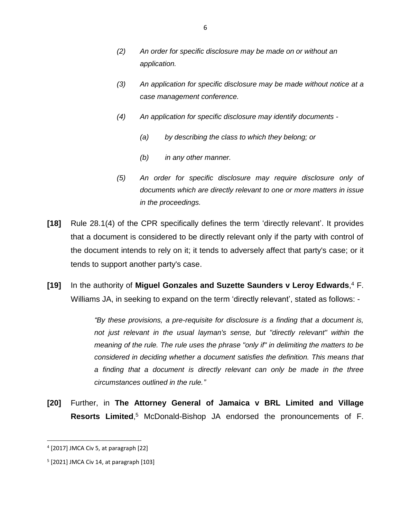- *(2) An order for specific disclosure may be made on or without an application.*
- *(3) An application for specific disclosure may be made without notice at a case management conference.*
- *(4) An application for specific disclosure may identify documents* 
	- *(a) by describing the class to which they belong; or*
	- *(b) in any other manner.*
- *(5) An order for specific disclosure may require disclosure only of documents which are directly relevant to one or more matters in issue in the proceedings.*
- **[18]** Rule 28.1(4) of the CPR specifically defines the term 'directly relevant'. It provides that a document is considered to be directly relevant only if the party with control of the document intends to rely on it; it tends to adversely affect that party's case; or it tends to support another party's case.
- **[19]** In the authority of **Miguel Gonzales and Suzette Saunders v Leroy Edwards**, <sup>4</sup> F. Williams JA, in seeking to expand on the term 'directly relevant', stated as follows: -

*"By these provisions, a pre-requisite for disclosure is a finding that a document is, not just relevant in the usual layman's sense, but "directly relevant" within the meaning of the rule. The rule uses the phrase "only if" in delimiting the matters to be considered in deciding whether a document satisfies the definition. This means that a finding that a document is directly relevant can only be made in the three circumstances outlined in the rule."*

**[20]** Further, in **The Attorney General of Jamaica v BRL Limited and Village Resorts Limited**, <sup>5</sup> McDonald-Bishop JA endorsed the pronouncements of F.

l

<sup>4</sup> [2017] JMCA Civ 5, at paragraph [22]

<sup>5</sup> [2021] JMCA Civ 14, at paragraph [103]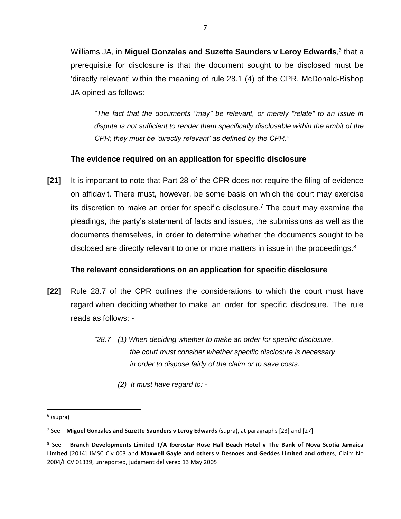Williams JA, in **Miguel Gonzales and Suzette Saunders v Leroy Edwards**,<sup>6</sup> that a prerequisite for disclosure is that the document sought to be disclosed must be 'directly relevant' within the meaning of rule 28.1 (4) of the CPR. McDonald-Bishop JA opined as follows: -

*"The fact that the documents "may" be relevant, or merely "relate" to an issue in dispute is not sufficient to render them specifically disclosable within the ambit of the CPR; they must be 'directly relevant' as defined by the CPR."*

## **The evidence required on an application for specific disclosure**

**[21]** It is important to note that Part 28 of the CPR does not require the filing of evidence on affidavit. There must, however, be some basis on which the court may exercise its discretion to make an order for specific disclosure. <sup>7</sup> The court may examine the pleadings, the party's statement of facts and issues, the submissions as well as the documents themselves, in order to determine whether the documents sought to be disclosed are directly relevant to one or more matters in issue in the proceedings. $8$ 

### **The relevant considerations on an application for specific disclosure**

- **[22]** Rule 28.7 of the CPR outlines the considerations to which the court must have regard when deciding whether to make an order for specific disclosure. The rule reads as follows: -
	- *"28.7 (1) When deciding whether to make an order for specific disclosure, the court must consider whether specific disclosure is necessary in order to dispose fairly of the claim or to save costs.*
		- *(2) It must have regard to: -*

 $\overline{\phantom{a}}$ 

<sup>&</sup>lt;sup>6</sup> (supra)

<sup>7</sup> See – **Miguel Gonzales and Suzette Saunders v Leroy Edwards** (supra), at paragraphs [23] and [27]

<sup>8</sup> See – **Branch Developments Limited T/A Iberostar Rose Hall Beach Hotel v The Bank of Nova Scotia Jamaica Limited** [2014] JMSC Civ 003 and **Maxwell Gayle and others v Desnoes and Geddes Limited and others**, Claim No 2004/HCV 01339, unreported, judgment delivered 13 May 2005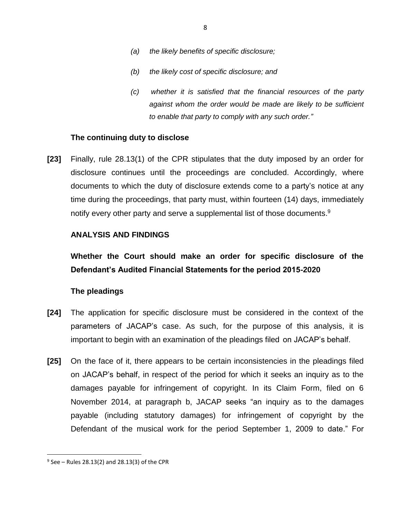- *(a) the likely benefits of specific disclosure;*
- *(b) the likely cost of specific disclosure; and*
- *(c) whether it is satisfied that the financial resources of the party against whom the order would be made are likely to be sufficient to enable that party to comply with any such order."*

#### **The continuing duty to disclose**

**[23]** Finally, rule 28.13(1) of the CPR stipulates that the duty imposed by an order for disclosure continues until the proceedings are concluded. Accordingly, where documents to which the duty of disclosure extends come to a party's notice at any time during the proceedings, that party must, within fourteen (14) days, immediately notify every other party and serve a supplemental list of those documents.<sup>9</sup>

### **ANALYSIS AND FINDINGS**

**Whether the Court should make an order for specific disclosure of the Defendant's Audited Financial Statements for the period 2015-2020**

#### **The pleadings**

- **[24]** The application for specific disclosure must be considered in the context of the parameters of JACAP's case. As such, for the purpose of this analysis, it is important to begin with an examination of the pleadings filed on JACAP's behalf.
- **[25]** On the face of it, there appears to be certain inconsistencies in the pleadings filed on JACAP's behalf, in respect of the period for which it seeks an inquiry as to the damages payable for infringement of copyright. In its Claim Form, filed on 6 November 2014, at paragraph b, JACAP seeks "an inquiry as to the damages payable (including statutory damages) for infringement of copyright by the Defendant of the musical work for the period September 1, 2009 to date." For

<sup>9</sup> See – Rules 28.13(2) and 28.13(3) of the CPR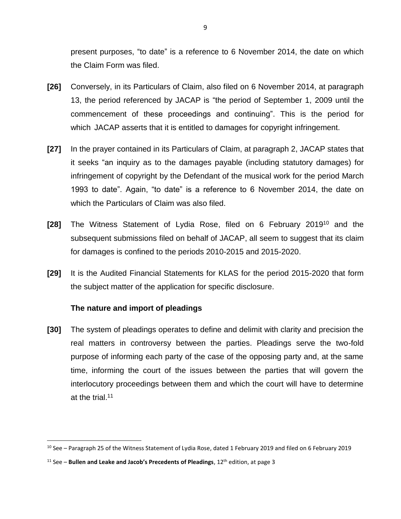present purposes, "to date" is a reference to 6 November 2014, the date on which the Claim Form was filed.

- **[26]** Conversely, in its Particulars of Claim, also filed on 6 November 2014, at paragraph 13, the period referenced by JACAP is "the period of September 1, 2009 until the commencement of these proceedings and continuing". This is the period for which JACAP asserts that it is entitled to damages for copyright infringement.
- **[27]** In the prayer contained in its Particulars of Claim, at paragraph 2, JACAP states that it seeks "an inquiry as to the damages payable (including statutory damages) for infringement of copyright by the Defendant of the musical work for the period March 1993 to date". Again, "to date" is a reference to 6 November 2014, the date on which the Particulars of Claim was also filed.
- **[28]** The Witness Statement of Lydia Rose, filed on 6 February 2019<sup>10</sup> and the subsequent submissions filed on behalf of JACAP, all seem to suggest that its claim for damages is confined to the periods 2010-2015 and 2015-2020.
- **[29]** It is the Audited Financial Statements for KLAS for the period 2015-2020 that form the subject matter of the application for specific disclosure.

### **The nature and import of pleadings**

l

**[30]** The system of pleadings operates to define and delimit with clarity and precision the real matters in controversy between the parties. Pleadings serve the two-fold purpose of informing each party of the case of the opposing party and, at the same time, informing the court of the issues between the parties that will govern the interlocutory proceedings between them and which the court will have to determine at the trial.<sup>11</sup>

<sup>10</sup> See – Paragraph 25 of the Witness Statement of Lydia Rose, dated 1 February 2019 and filed on 6 February 2019

<sup>&</sup>lt;sup>11</sup> See – **Bullen and Leake and Jacob's Precedents of Pleadings**, 12<sup>th</sup> edition, at page 3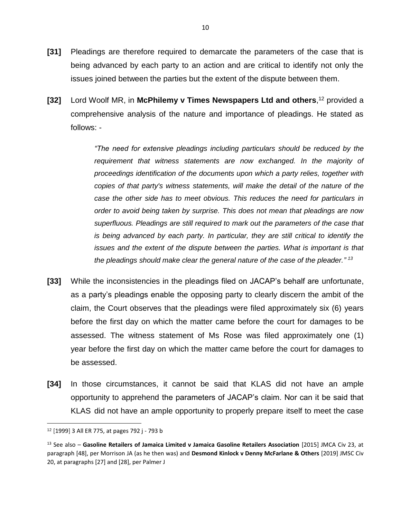- **[31]** Pleadings are therefore required to demarcate the parameters of the case that is being advanced by each party to an action and are critical to identify not only the issues joined between the parties but the extent of the dispute between them.
- **[32]** Lord Woolf MR, in **McPhilemy v Times Newspapers Ltd and others**, <sup>12</sup> provided a comprehensive analysis of the nature and importance of pleadings. He stated as follows: -

*"The need for extensive pleadings including particulars should be reduced by the*  requirement that witness statements are now exchanged. In the majority of *proceedings identification of the documents upon which a party relies, together with copies of that party's witness statements, will make the detail of the nature of the case the other side has to meet obvious. This reduces the need for particulars in order to avoid being taken by surprise. This does not mean that pleadings are now superfluous. Pleadings are still required to mark out the parameters of the case that is being advanced by each party. In particular, they are still critical to identify the issues and the extent of the dispute between the parties. What is important is that the pleadings should make clear the general nature of the case of the pleader." 13*

- **[33]** While the inconsistencies in the pleadings filed on JACAP's behalf are unfortunate, as a party's pleadings enable the opposing party to clearly discern the ambit of the claim, the Court observes that the pleadings were filed approximately six (6) years before the first day on which the matter came before the court for damages to be assessed. The witness statement of Ms Rose was filed approximately one (1) year before the first day on which the matter came before the court for damages to be assessed.
- **[34]** In those circumstances, it cannot be said that KLAS did not have an ample opportunity to apprehend the parameters of JACAP's claim. Nor can it be said that KLAS did not have an ample opportunity to properly prepare itself to meet the case

l

<sup>12</sup> [1999] 3 All ER 775, at pages 792 j - 793 b

<sup>13</sup> See also – **Gasoline Retailers of Jamaica Limited v Jamaica Gasoline Retailers Association** [2015] JMCA Civ 23, at paragraph [48], per Morrison JA (as he then was) and **Desmond Kinlock v Denny McFarlane & Others** [2019] JMSC Civ 20, at paragraphs [27] and [28], per Palmer J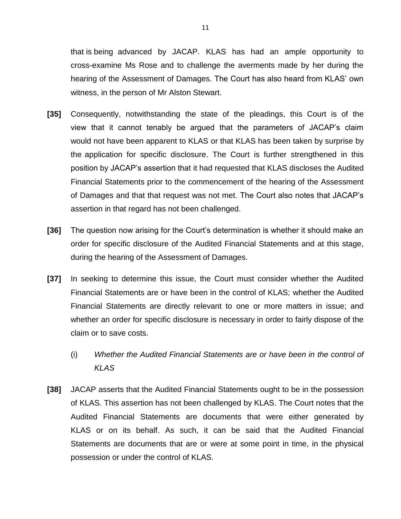that is being advanced by JACAP. KLAS has had an ample opportunity to cross-examine Ms Rose and to challenge the averments made by her during the hearing of the Assessment of Damages. The Court has also heard from KLAS' own witness, in the person of Mr Alston Stewart.

- **[35]** Consequently, notwithstanding the state of the pleadings, this Court is of the view that it cannot tenably be argued that the parameters of JACAP's claim would not have been apparent to KLAS or that KLAS has been taken by surprise by the application for specific disclosure. The Court is further strengthened in this position by JACAP's assertion that it had requested that KLAS discloses the Audited Financial Statements prior to the commencement of the hearing of the Assessment of Damages and that that request was not met. The Court also notes that JACAP's assertion in that regard has not been challenged.
- **[36]** The question now arising for the Court's determination is whether it should make an order for specific disclosure of the Audited Financial Statements and at this stage, during the hearing of the Assessment of Damages.
- **[37]** In seeking to determine this issue, the Court must consider whether the Audited Financial Statements are or have been in the control of KLAS; whether the Audited Financial Statements are directly relevant to one or more matters in issue; and whether an order for specific disclosure is necessary in order to fairly dispose of the claim or to save costs.
	- (i) *Whether the Audited Financial Statements are or have been in the control of KLAS*
- **[38]** JACAP asserts that the Audited Financial Statements ought to be in the possession of KLAS. This assertion has not been challenged by KLAS. The Court notes that the Audited Financial Statements are documents that were either generated by KLAS or on its behalf. As such, it can be said that the Audited Financial Statements are documents that are or were at some point in time, in the physical possession or under the control of KLAS.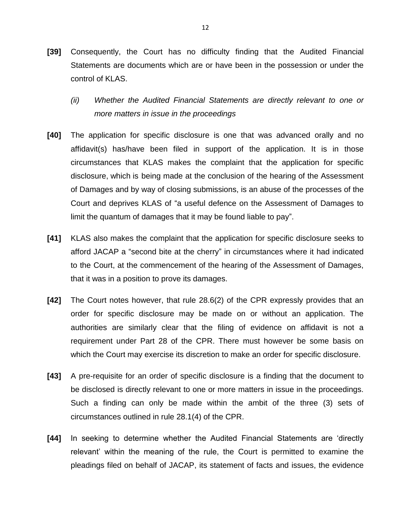- **[39]** Consequently, the Court has no difficulty finding that the Audited Financial Statements are documents which are or have been in the possession or under the control of KLAS.
	- *(ii) Whether the Audited Financial Statements are directly relevant to one or more matters in issue in the proceedings*
- **[40]** The application for specific disclosure is one that was advanced orally and no affidavit(s) has/have been filed in support of the application. It is in those circumstances that KLAS makes the complaint that the application for specific disclosure, which is being made at the conclusion of the hearing of the Assessment of Damages and by way of closing submissions, is an abuse of the processes of the Court and deprives KLAS of "a useful defence on the Assessment of Damages to limit the quantum of damages that it may be found liable to pay".
- **[41]** KLAS also makes the complaint that the application for specific disclosure seeks to afford JACAP a "second bite at the cherry" in circumstances where it had indicated to the Court, at the commencement of the hearing of the Assessment of Damages, that it was in a position to prove its damages.
- **[42]** The Court notes however, that rule 28.6(2) of the CPR expressly provides that an order for specific disclosure may be made on or without an application. The authorities are similarly clear that the filing of evidence on affidavit is not a requirement under Part 28 of the CPR. There must however be some basis on which the Court may exercise its discretion to make an order for specific disclosure.
- **[43]** A pre-requisite for an order of specific disclosure is a finding that the document to be disclosed is directly relevant to one or more matters in issue in the proceedings. Such a finding can only be made within the ambit of the three (3) sets of circumstances outlined in rule 28.1(4) of the CPR.
- **[44]** In seeking to determine whether the Audited Financial Statements are 'directly relevant' within the meaning of the rule, the Court is permitted to examine the pleadings filed on behalf of JACAP, its statement of facts and issues, the evidence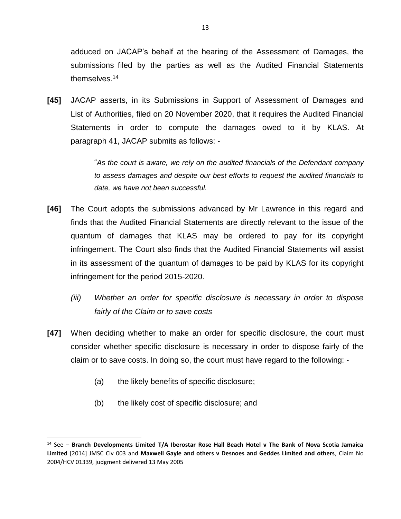adduced on JACAP's behalf at the hearing of the Assessment of Damages, the submissions filed by the parties as well as the Audited Financial Statements themselves. 14

**[45]** JACAP asserts, in its Submissions in Support of Assessment of Damages and List of Authorities, filed on 20 November 2020, that it requires the Audited Financial Statements in order to compute the damages owed to it by KLAS. At paragraph 41, JACAP submits as follows: -

> "*As the court is aware, we rely on the audited financials of the Defendant company to assess damages and despite our best efforts to request the audited financials to date, we have not been successful.*

- **[46]** The Court adopts the submissions advanced by Mr Lawrence in this regard and finds that the Audited Financial Statements are directly relevant to the issue of the quantum of damages that KLAS may be ordered to pay for its copyright infringement. The Court also finds that the Audited Financial Statements will assist in its assessment of the quantum of damages to be paid by KLAS for its copyright infringement for the period 2015-2020.
	- *(iii) Whether an order for specific disclosure is necessary in order to dispose fairly of the Claim or to save costs*
- **[47]** When deciding whether to make an order for specific disclosure, the court must consider whether specific disclosure is necessary in order to dispose fairly of the claim or to save costs. In doing so, the court must have regard to the following: -
	- (a) the likely benefits of specific disclosure;
	- (b) the likely cost of specific disclosure; and

 $\overline{\phantom{a}}$ 

<sup>14</sup> See – **Branch Developments Limited T/A Iberostar Rose Hall Beach Hotel v The Bank of Nova Scotia Jamaica Limited** [2014] JMSC Civ 003 and **Maxwell Gayle and others v Desnoes and Geddes Limited and others**, Claim No 2004/HCV 01339, judgment delivered 13 May 2005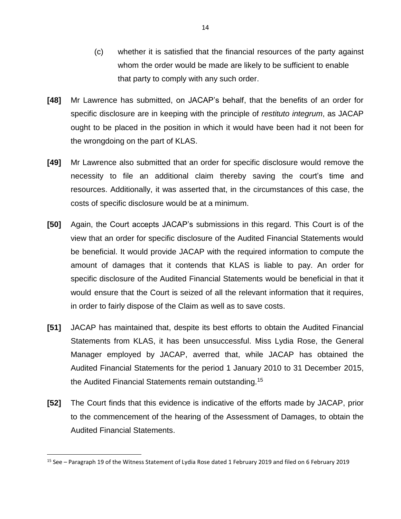- (c) whether it is satisfied that the financial resources of the party against whom the order would be made are likely to be sufficient to enable that party to comply with any such order.
- **[48]** Mr Lawrence has submitted, on JACAP's behalf, that the benefits of an order for specific disclosure are in keeping with the principle of *restituto integrum*, as JACAP ought to be placed in the position in which it would have been had it not been for the wrongdoing on the part of KLAS.
- **[49]** Mr Lawrence also submitted that an order for specific disclosure would remove the necessity to file an additional claim thereby saving the court's time and resources. Additionally, it was asserted that, in the circumstances of this case, the costs of specific disclosure would be at a minimum.
- **[50]** Again, the Court accepts JACAP's submissions in this regard. This Court is of the view that an order for specific disclosure of the Audited Financial Statements would be beneficial. It would provide JACAP with the required information to compute the amount of damages that it contends that KLAS is liable to pay. An order for specific disclosure of the Audited Financial Statements would be beneficial in that it would ensure that the Court is seized of all the relevant information that it requires, in order to fairly dispose of the Claim as well as to save costs.
- **[51]** JACAP has maintained that, despite its best efforts to obtain the Audited Financial Statements from KLAS, it has been unsuccessful. Miss Lydia Rose, the General Manager employed by JACAP, averred that, while JACAP has obtained the Audited Financial Statements for the period 1 January 2010 to 31 December 2015, the Audited Financial Statements remain outstanding.<sup>15</sup>
- **[52]** The Court finds that this evidence is indicative of the efforts made by JACAP, prior to the commencement of the hearing of the Assessment of Damages, to obtain the Audited Financial Statements.

<sup>15</sup> See – Paragraph 19 of the Witness Statement of Lydia Rose dated 1 February 2019 and filed on 6 February 2019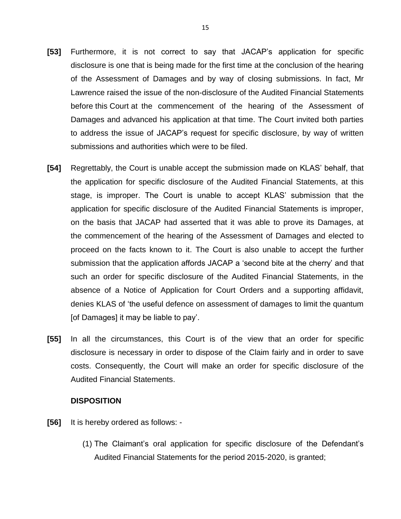- **[53]** Furthermore, it is not correct to say that JACAP's application for specific disclosure is one that is being made for the first time at the conclusion of the hearing of the Assessment of Damages and by way of closing submissions. In fact, Mr Lawrence raised the issue of the non-disclosure of the Audited Financial Statements before this Court at the commencement of the hearing of the Assessment of Damages and advanced his application at that time. The Court invited both parties to address the issue of JACAP's request for specific disclosure, by way of written submissions and authorities which were to be filed.
- **[54]** Regrettably, the Court is unable accept the submission made on KLAS' behalf, that the application for specific disclosure of the Audited Financial Statements, at this stage, is improper. The Court is unable to accept KLAS' submission that the application for specific disclosure of the Audited Financial Statements is improper, on the basis that JACAP had asserted that it was able to prove its Damages, at the commencement of the hearing of the Assessment of Damages and elected to proceed on the facts known to it. The Court is also unable to accept the further submission that the application affords JACAP a 'second bite at the cherry' and that such an order for specific disclosure of the Audited Financial Statements, in the absence of a Notice of Application for Court Orders and a supporting affidavit, denies KLAS of 'the useful defence on assessment of damages to limit the quantum [of Damages] it may be liable to pay'.
- **[55]** In all the circumstances, this Court is of the view that an order for specific disclosure is necessary in order to dispose of the Claim fairly and in order to save costs. Consequently, the Court will make an order for specific disclosure of the Audited Financial Statements.

### **DISPOSITION**

- **[56]** It is hereby ordered as follows:
	- (1) The Claimant's oral application for specific disclosure of the Defendant's Audited Financial Statements for the period 2015-2020, is granted;